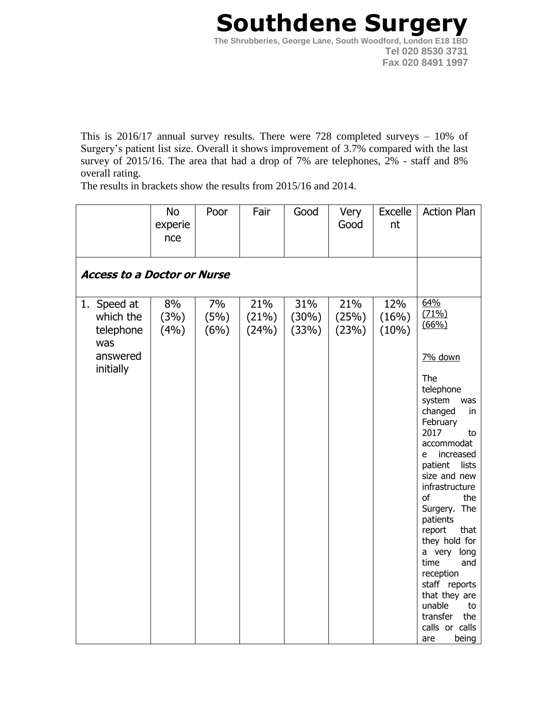## **Southdene Surgery The Shrubberies, George Lane, South Woodford, London E18 1BD Tel 020 8530 3731 Fax 020 8491 1997**

This is 2016/17 annual survey results. There were 728 completed surveys – 10% of Surgery's patient list size. Overall it shows improvement of 3.7% compared with the last survey of 2015/16. The area that had a drop of 7% are telephones, 2% - staff and 8% overall rating.

The results in brackets show the results from 2015/16 and 2014.

|                                                                       | <b>No</b><br>experie<br>nce | Poor               | Fair                  | Good                  | Very<br>Good          | Excelle<br>nt         | <b>Action Plan</b>                                                                                                                                                                                                                                                                                                                                                                                                                      |  |  |
|-----------------------------------------------------------------------|-----------------------------|--------------------|-----------------------|-----------------------|-----------------------|-----------------------|-----------------------------------------------------------------------------------------------------------------------------------------------------------------------------------------------------------------------------------------------------------------------------------------------------------------------------------------------------------------------------------------------------------------------------------------|--|--|
| <b>Access to a Doctor or Nurse</b>                                    |                             |                    |                       |                       |                       |                       |                                                                                                                                                                                                                                                                                                                                                                                                                                         |  |  |
| 1. Speed at<br>which the<br>telephone<br>was<br>answered<br>initially | 8%<br>(3%)<br>(4%)          | 7%<br>(5%)<br>(6%) | 21%<br>(21%)<br>(24%) | 31%<br>(30%)<br>(33%) | 21%<br>(25%)<br>(23%) | 12%<br>(16%)<br>(10%) | 64%<br>(71%)<br>(66%)<br>7% down<br>The<br>telephone<br>system<br>was<br>changed<br>in<br>February<br>2017<br>to<br>accommodat<br>increased<br>e<br>patient<br>lists<br>size and new<br>infrastructure<br>the<br>of<br>Surgery. The<br>patients<br>report<br>that<br>they hold for<br>long<br>a very<br>time<br>and<br>reception<br>staff reports<br>that they are<br>unable<br>to<br>transfer<br>the<br>calls or calls<br>being<br>are |  |  |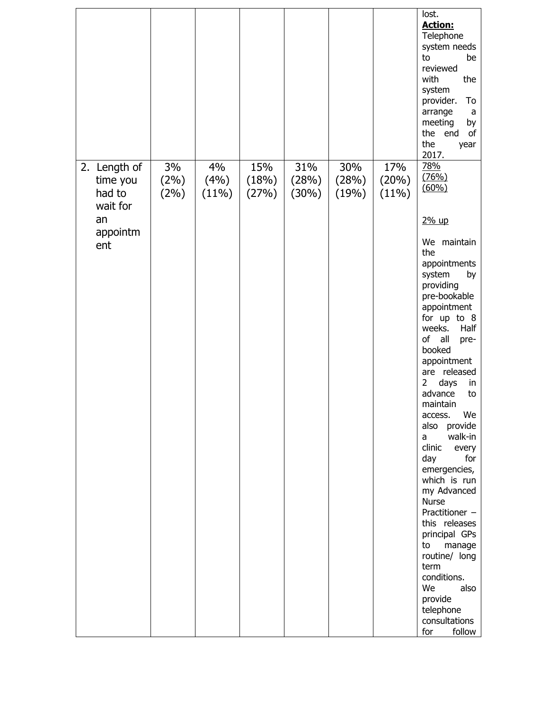|                                                                         |                    |                     |                       |                       |                       |                       | lost.<br><b>Action:</b><br>Telephone<br>system needs<br>be<br>to<br>reviewed<br>the<br>with<br>system<br>provider.<br>To<br>arrange<br>a<br>meeting<br>by<br>the<br>end<br>of<br>the<br>year<br>2017.                                                                                                                                                                                                                                                                                                                                                                                                                               |
|-------------------------------------------------------------------------|--------------------|---------------------|-----------------------|-----------------------|-----------------------|-----------------------|-------------------------------------------------------------------------------------------------------------------------------------------------------------------------------------------------------------------------------------------------------------------------------------------------------------------------------------------------------------------------------------------------------------------------------------------------------------------------------------------------------------------------------------------------------------------------------------------------------------------------------------|
| 2. Length of<br>time you<br>had to<br>wait for<br>an<br>appointm<br>ent | 3%<br>(2%)<br>(2%) | 4%<br>(4%)<br>(11%) | 15%<br>(18%)<br>(27%) | 31%<br>(28%)<br>(30%) | 30%<br>(28%)<br>(19%) | 17%<br>(20%)<br>(11%) | 78%<br>(76%)<br>(60%<br>2% up<br>We maintain<br>the<br>appointments<br>system<br>by<br>providing<br>pre-bookable<br>appointment<br>for up to 8<br>Half<br>weeks.<br>of<br>all<br>pre-<br>booked<br>appointment<br>are released<br>$\overline{2}$<br>days<br>in<br>advance<br>to<br>maintain<br>access.<br>We<br>also<br>provide<br>walk-in<br>a<br>clinic<br>every<br>for<br>day<br>emergencies,<br>which is run<br>my Advanced<br><b>Nurse</b><br>Practitioner -<br>this releases<br>principal GPs<br>to<br>manage<br>routine/ long<br>term<br>conditions.<br>We<br>also<br>provide<br>telephone<br>consultations<br>follow<br>for |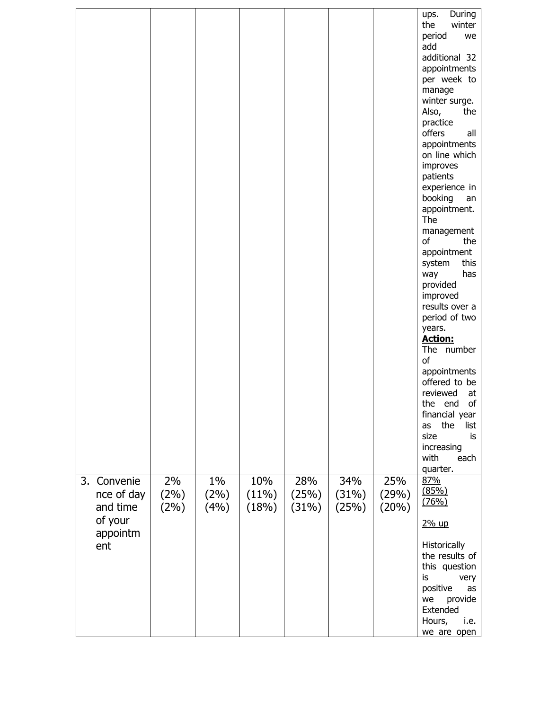|                                                                        |                       |                       |                       |                       |                       |                       | During<br>ups.<br>the<br>winter<br>period<br>we<br>add<br>additional 32<br>appointments<br>per week to<br>manage<br>winter surge.<br>Also,<br>the<br>practice<br>offers<br>all<br>appointments<br>on line which<br>improves<br>patients<br>experience in<br>booking<br>an<br>appointment.<br>The<br>management<br>of<br>the<br>appointment<br>this<br>system<br>has<br>way<br>provided<br>improved<br>results over a<br>period of two<br>years.<br><b>Action:</b><br>The number<br>of<br>appointments<br>offered to be<br>reviewed<br>at<br>the end<br>of<br>financial year<br>the<br>list<br>as<br>size<br>is<br>increasing<br>with<br>each<br>quarter. |
|------------------------------------------------------------------------|-----------------------|-----------------------|-----------------------|-----------------------|-----------------------|-----------------------|----------------------------------------------------------------------------------------------------------------------------------------------------------------------------------------------------------------------------------------------------------------------------------------------------------------------------------------------------------------------------------------------------------------------------------------------------------------------------------------------------------------------------------------------------------------------------------------------------------------------------------------------------------|
| Convenie<br>3.<br>nce of day<br>and time<br>of your<br>appointm<br>ent | 2%<br>(2%)<br>$(2\%)$ | $1\%$<br>(2%)<br>(4%) | 10%<br>(11%)<br>(18%) | 28%<br>(25%)<br>(31%) | 34%<br>(31%)<br>(25%) | 25%<br>(29%)<br>(20%) | 87%<br>(85%)<br>(76%)<br>2% up<br>Historically<br>the results of<br>this question<br>is<br>very                                                                                                                                                                                                                                                                                                                                                                                                                                                                                                                                                          |
|                                                                        |                       |                       |                       |                       |                       |                       | positive<br>as<br>provide<br>we<br>Extended<br>Hours,<br>i.e.<br>we are open                                                                                                                                                                                                                                                                                                                                                                                                                                                                                                                                                                             |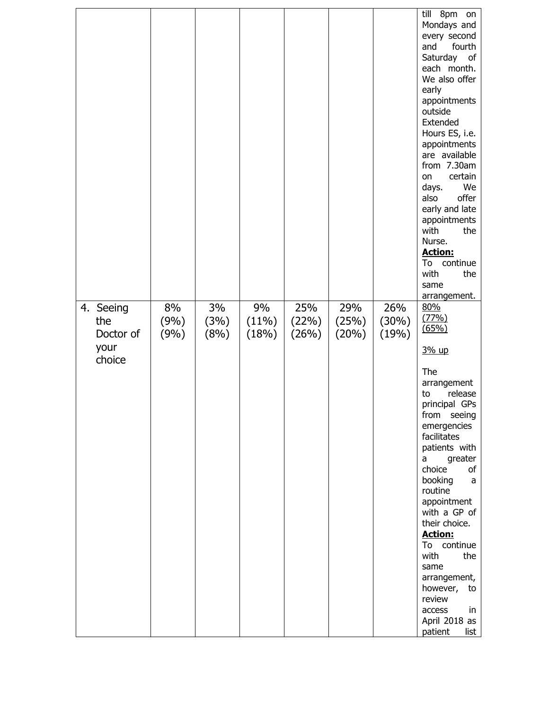|                               |                    |                    |                      |                       |                       |                       | till 8pm on<br>Mondays and<br>every second<br>fourth<br>and<br>Saturday of<br>each month.<br>We also offer<br>early<br>appointments<br>outside<br>Extended<br>Hours ES, i.e.<br>appointments<br>are available<br>from 7.30am<br>certain<br>on<br>We<br>days.<br>offer<br>also<br>early and late<br>appointments<br>with<br>the<br>Nurse.<br><b>Action:</b><br>continue<br>To<br>with<br>the<br>same<br>arrangement. |
|-------------------------------|--------------------|--------------------|----------------------|-----------------------|-----------------------|-----------------------|---------------------------------------------------------------------------------------------------------------------------------------------------------------------------------------------------------------------------------------------------------------------------------------------------------------------------------------------------------------------------------------------------------------------|
| 4. Seeing<br>the<br>Doctor of | 8%<br>(9%)<br>(9%) | 3%<br>(3%)<br>(8%) | 9%<br>(11%)<br>(18%) | 25%<br>(22%)<br>(26%) | 29%<br>(25%)<br>(20%) | 26%<br>(30%)<br>(19%) | 80%<br>(77%)<br>(65%)                                                                                                                                                                                                                                                                                                                                                                                               |
| your<br>choice                |                    |                    |                      |                       |                       |                       | 3% up                                                                                                                                                                                                                                                                                                                                                                                                               |
|                               |                    |                    |                      |                       |                       |                       | The<br>arrangement<br>release<br>to<br>principal GPs<br>from<br>seeing<br>emergencies<br>facilitates<br>patients with<br>greater<br>a<br>choice<br>оf<br>booking<br>a<br>routine<br>appointment<br>with a GP of<br>their choice.<br><b>Action:</b><br>To continue<br>with<br>the<br>same<br>arrangement,<br>however,<br>to<br>review<br>access<br>in<br>April 2018 as<br>patient<br>list                            |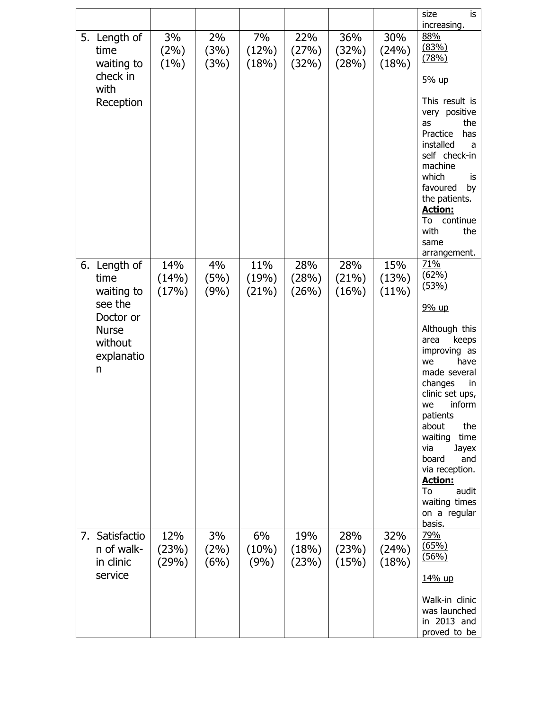|    |                                                                                                          |                       |                    |                       |                       |                       |                          | size<br>is                                                                                                                                                                                                                                                                                                                                                      |
|----|----------------------------------------------------------------------------------------------------------|-----------------------|--------------------|-----------------------|-----------------------|-----------------------|--------------------------|-----------------------------------------------------------------------------------------------------------------------------------------------------------------------------------------------------------------------------------------------------------------------------------------------------------------------------------------------------------------|
|    | 5. Length of<br>time<br>waiting to<br>check in<br>with<br>Reception                                      | 3%<br>$(2\%)$<br>(1%) | 2%<br>(3%)<br>(3%) | 7%<br>(12%)<br>(18%)  | 22%<br>(27%)<br>(32%) | 36%<br>(32%)<br>(28%) | 30%<br>(24%)<br>(18%)    | increasing.<br>88%<br>(83%)<br>(78%)<br>5% up<br>This result is<br>very positive<br>the<br>as<br>Practice<br>has<br>installed<br>a<br>self check-in<br>machine<br>which<br>is<br>favoured<br>by<br>the patients.<br><b>Action:</b><br>continue<br>To<br>with<br>the<br>same                                                                                     |
|    | 6. Length of<br>time<br>waiting to<br>see the<br>Doctor or<br><b>Nurse</b><br>without<br>explanatio<br>n | 14%<br>(14%)<br>(17%) | 4%<br>(5%)<br>(9%) | 11%<br>(19%)<br>(21%) | 28%<br>(28%)<br>(26%) | 28%<br>(21%)<br>(16%) | 15%<br>(13%)<br>$(11\%)$ | arrangement.<br>71%<br>(62%)<br>(53%)<br>9% up<br>Although this<br>keeps<br>area<br>improving as<br>have<br>we<br>made several<br>changes<br>in<br>clinic set ups,<br>inform<br>we<br>patients<br>about<br>the<br>waiting<br>time<br>via<br>Jayex<br>board<br>and<br>via reception.<br><b>Action:</b><br>To<br>audit<br>waiting times<br>on a regular<br>basis. |
| 7. | Satisfactio<br>n of walk-<br>in clinic<br>service                                                        | 12%<br>(23%)<br>(29%) | 3%<br>(2%)<br>(6%) | 6%<br>(10%)<br>(9%)   | 19%<br>(18%)<br>(23%) | 28%<br>(23%)<br>(15%) | 32%<br>(24%)<br>(18%)    | 79%<br>(65%)<br>(56%)<br>14% up<br>Walk-in clinic<br>was launched<br>in 2013 and<br>proved to be                                                                                                                                                                                                                                                                |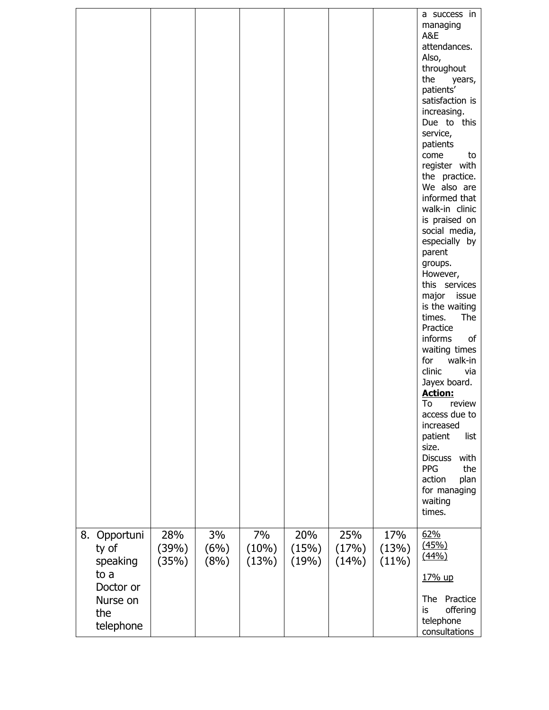| Opportuni<br>8.                                                        | 28%            | 3%           | 7%             | 20%            | 25%            | 17%            | a success in<br>managing<br>A&E<br>attendances.<br>Also,<br>throughout<br>the<br>years,<br>patients'<br>satisfaction is<br>increasing.<br>Due to this<br>service,<br>patients<br>come<br>to<br>register with<br>the practice.<br>We also are<br>informed that<br>walk-in clinic<br>is praised on<br>social media,<br>especially by<br>parent<br>groups.<br>However,<br>this services<br>major issue<br>is the waiting<br>The<br>times.<br>Practice<br>informs<br>of<br>waiting times<br>for<br>walk-in<br>clinic<br>via<br>Jayex board.<br><b>Action:</b><br>To<br>review<br>access due to<br>increased<br>patient<br>list<br>size.<br>with<br><b>Discuss</b><br>PPG<br>the<br>action<br>plan<br>for managing<br>waiting<br>times.<br>62% |
|------------------------------------------------------------------------|----------------|--------------|----------------|----------------|----------------|----------------|-------------------------------------------------------------------------------------------------------------------------------------------------------------------------------------------------------------------------------------------------------------------------------------------------------------------------------------------------------------------------------------------------------------------------------------------------------------------------------------------------------------------------------------------------------------------------------------------------------------------------------------------------------------------------------------------------------------------------------------------|
| ty of<br>speaking<br>to a<br>Doctor or<br>Nurse on<br>the<br>telephone | (39%)<br>(35%) | (6%)<br>(8%) | (10%)<br>(13%) | (15%)<br>(19%) | (17%)<br>(14%) | (13%)<br>(11%) | (45%)<br>(44%)<br>17% up<br>The<br>Practice<br>offering<br>is<br>telephone<br>consultations                                                                                                                                                                                                                                                                                                                                                                                                                                                                                                                                                                                                                                               |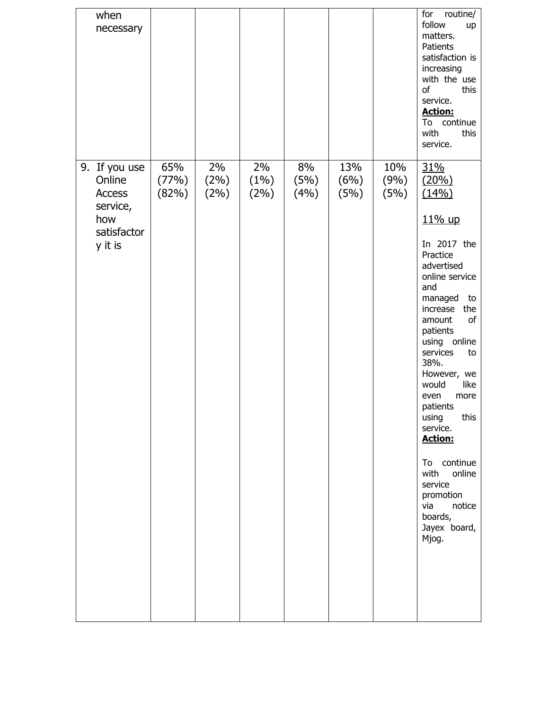| when<br>necessary                                                                     |                       |                    |                       |                    |                     |                     | for<br>routine/<br>follow<br>up<br>matters.<br>Patients<br>satisfaction is<br>increasing<br>with the use<br>this<br>of<br>service.<br><b>Action:</b><br>continue<br>To<br>with<br>this<br>service.                                                                                                                                                                                                                                      |
|---------------------------------------------------------------------------------------|-----------------------|--------------------|-----------------------|--------------------|---------------------|---------------------|-----------------------------------------------------------------------------------------------------------------------------------------------------------------------------------------------------------------------------------------------------------------------------------------------------------------------------------------------------------------------------------------------------------------------------------------|
| 9. If you use<br>Online<br><b>Access</b><br>service,<br>how<br>satisfactor<br>y it is | 65%<br>(77%)<br>(82%) | 2%<br>(2%)<br>(2%) | 2%<br>$(1\%)$<br>(2%) | 8%<br>(5%)<br>(4%) | 13%<br>(6%)<br>(5%) | 10%<br>(9%)<br>(5%) | 31%<br>(20%)<br>(14%)<br>11% up<br>In 2017 the<br>Practice<br>advertised<br>online service<br>and<br>managed<br>to<br>increase<br>the<br>of<br>amount<br>patients<br>using online<br>services<br>to<br>38%.<br>However, we<br>like<br>would<br>even<br>more<br>patients<br>this<br>using<br>service.<br><b>Action:</b><br>continue<br>To<br>with<br>online<br>service<br>promotion<br>notice<br>via<br>boards,<br>Jayex board,<br>Mjog. |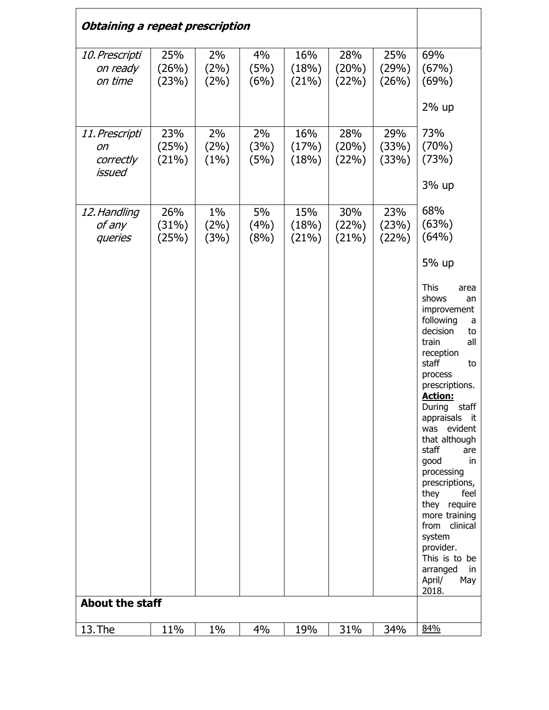| Obtaining a repeat prescription             |                       |                       |                    |                       |                       |                       |                                                                                                                                                                                                                                                                                                                                                                                                                                                                                      |
|---------------------------------------------|-----------------------|-----------------------|--------------------|-----------------------|-----------------------|-----------------------|--------------------------------------------------------------------------------------------------------------------------------------------------------------------------------------------------------------------------------------------------------------------------------------------------------------------------------------------------------------------------------------------------------------------------------------------------------------------------------------|
| 10. Prescripti<br>on ready<br>on time       | 25%<br>(26%)<br>(23%) | 2%<br>(2%)<br>(2%)    | 4%<br>(5%)<br>(6%) | 16%<br>(18%)<br>(21%) | 28%<br>(20%)<br>(22%) | 25%<br>(29%)<br>(26%) | 69%<br>(67%)<br>(69%)                                                                                                                                                                                                                                                                                                                                                                                                                                                                |
|                                             |                       |                       |                    |                       |                       |                       | 2% up                                                                                                                                                                                                                                                                                                                                                                                                                                                                                |
| 11. Prescripti<br>on<br>correctly<br>issued | 23%<br>(25%)<br>(21%) | 2%<br>(2%)<br>(1%)    | 2%<br>(3%)<br>(5%) | 16%<br>(17%)<br>(18%) | 28%<br>(20%)<br>(22%) | 29%<br>(33%)<br>(33%) | 73%<br>(70%)<br>(73%)<br>3% up                                                                                                                                                                                                                                                                                                                                                                                                                                                       |
| 12. Handling<br>of any<br>queries           | 26%<br>(31%)<br>(25%) | $1\%$<br>(2%)<br>(3%) | 5%<br>(4%)<br>(8%) | 15%<br>(18%)<br>(21%) | 30%<br>(22%)<br>(21%) | 23%<br>(23%)<br>(22%) | 68%<br>(63%)<br>(64%)                                                                                                                                                                                                                                                                                                                                                                                                                                                                |
|                                             |                       |                       |                    |                       |                       |                       | 5% up<br><b>This</b><br>area<br>shows<br>an<br>improvement<br>following<br>a<br>decision<br>to<br>train<br>all<br>reception<br>staff<br>to<br>process<br>prescriptions.<br><b>Action:</b><br>staff<br>During<br>appraisals it<br>evident<br>was<br>that although<br>staff<br>are<br>good<br>in<br>processing<br>prescriptions,<br>they<br>feel<br>they require<br>more training<br>from clinical<br>system<br>provider.<br>This is to be<br>arranged<br>in<br>April/<br>May<br>2018. |
| <b>About the staff</b>                      |                       |                       |                    |                       |                       |                       |                                                                                                                                                                                                                                                                                                                                                                                                                                                                                      |
| 13. The                                     | 11%                   | 1%                    | 4%                 | 19%                   | 31%                   | 34%                   | 84%                                                                                                                                                                                                                                                                                                                                                                                                                                                                                  |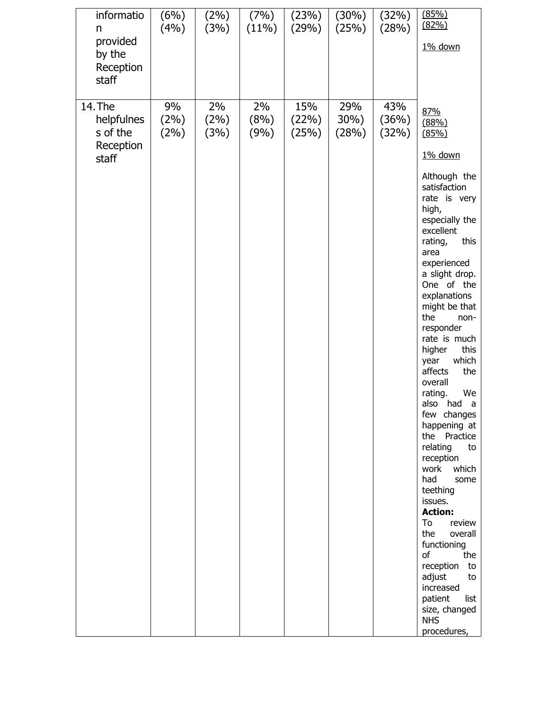| informatio<br>n<br>provided<br>by the<br>Reception<br>staff | $(6\%)$  <br>(4% )       | $(2\%)$  <br>(3%)     | (11%)              | $(7\%)$ $(23\%)$<br>(29%) | $(30\%)$<br>(25%)    | (32%)<br>(28%)        | (85%)<br>(82%)<br>1% down                                                                                                                                                                                                                                                                                                                                                                                                                                                                                                                                                                                                 |
|-------------------------------------------------------------|--------------------------|-----------------------|--------------------|---------------------------|----------------------|-----------------------|---------------------------------------------------------------------------------------------------------------------------------------------------------------------------------------------------------------------------------------------------------------------------------------------------------------------------------------------------------------------------------------------------------------------------------------------------------------------------------------------------------------------------------------------------------------------------------------------------------------------------|
| 14. The<br>helpfulnes<br>s of the<br>Reception<br>staff     | 9%<br>$(2\%)$<br>$(2\%)$ | 2%<br>$(2\%)$<br>(3%) | 2%<br>(8%)<br>(9%) | 15%<br>(22%)<br>(25%)     | 29%<br>30%)<br>(28%) | 43%<br>(36%)<br>(32%) | 87%<br>(88%)<br>(85%)<br>1% down<br>Although the<br>satisfaction<br>rate is very<br>high,<br>especially the<br>excellent<br>rating,<br>this<br>area<br>experienced<br>a slight drop.<br>One of the<br>explanations<br>might be that<br>the<br>non-<br>responder<br>rate is much<br>higher<br>this<br>which<br>year<br>affects<br>the<br>overall<br>rating.<br>We<br>also had a<br>few changes<br>happening at<br>the<br>Practice<br>relating<br>to<br>reception<br>work<br>which<br>had<br>some<br>teething<br>issues.<br><b>Action:</b><br>To<br>review<br>the<br>overall<br>functioning<br>of<br>the<br>reception<br>to |
|                                                             |                          |                       |                    |                           |                      |                       | adjust<br>to<br>increased<br>patient<br>list<br>size, changed<br><b>NHS</b><br>procedures,                                                                                                                                                                                                                                                                                                                                                                                                                                                                                                                                |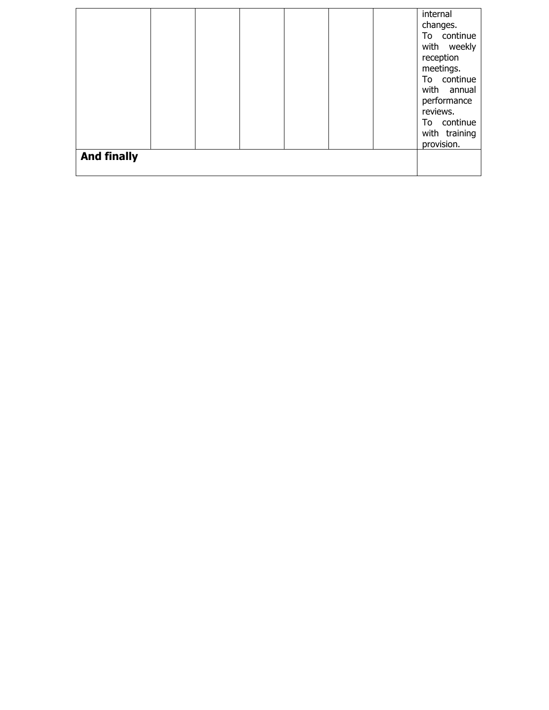|                    |  |  |  | internal<br>changes.<br>To continue<br>with weekly<br>reception<br>meetings.<br>To continue<br>with annual<br>performance<br>reviews.<br>To continue<br>with training<br>provision. |
|--------------------|--|--|--|-------------------------------------------------------------------------------------------------------------------------------------------------------------------------------------|
| <b>And finally</b> |  |  |  |                                                                                                                                                                                     |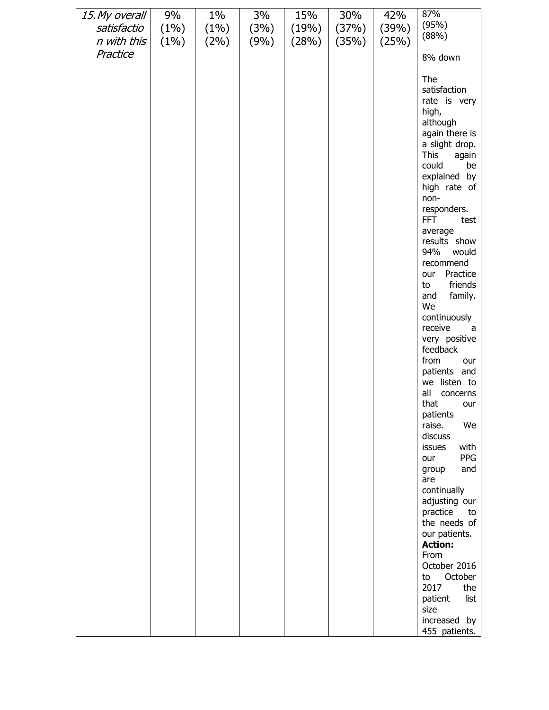| 15. My overall<br>satisfactio<br>n with this | 9%<br>$(1\%)$<br>(1%) | $1\%$<br>(1%)<br>$(2\%)$ | 3%<br>(3%)<br>(9%) | 15%<br>(19%)<br>(28%) | 30%<br>(37%)<br>(35%) | 42%<br>(39%)<br>(25%) | 87%<br>(95%)<br>(88%)                                                                                                                                                                                                                                                                                                                                                                                                                                                                                                                                                                                                                                                                                                                                            |
|----------------------------------------------|-----------------------|--------------------------|--------------------|-----------------------|-----------------------|-----------------------|------------------------------------------------------------------------------------------------------------------------------------------------------------------------------------------------------------------------------------------------------------------------------------------------------------------------------------------------------------------------------------------------------------------------------------------------------------------------------------------------------------------------------------------------------------------------------------------------------------------------------------------------------------------------------------------------------------------------------------------------------------------|
| Practice                                     |                       |                          |                    |                       |                       |                       | 8% down                                                                                                                                                                                                                                                                                                                                                                                                                                                                                                                                                                                                                                                                                                                                                          |
|                                              |                       |                          |                    |                       |                       |                       | The<br>satisfaction<br>rate is very<br>high,<br>although<br>again there is<br>a slight drop.<br><b>This</b><br>again<br>could<br>be<br>explained by<br>high rate of<br>non-<br>responders.<br><b>FFT</b><br>test<br>average<br>results show<br>94%<br>would<br>recommend<br>Practice<br>our<br>friends<br>to<br>family.<br>and<br>We<br>continuously<br>receive<br>а<br>very positive<br>feedback<br>from<br>our<br>patients and<br>we listen to<br>all<br>concerns<br>that<br>our<br>patients<br>raise.<br>We<br>discuss<br>with<br>issues<br>PPG<br>our<br>and<br>group<br>are<br>continually<br>adjusting our<br>practice<br>to<br>the needs of<br>our patients.<br><b>Action:</b><br>From<br>October 2016<br>October<br>to<br>2017<br>the<br>patient<br>list |
|                                              |                       |                          |                    |                       |                       |                       | size<br>increased by<br>455 patients.                                                                                                                                                                                                                                                                                                                                                                                                                                                                                                                                                                                                                                                                                                                            |